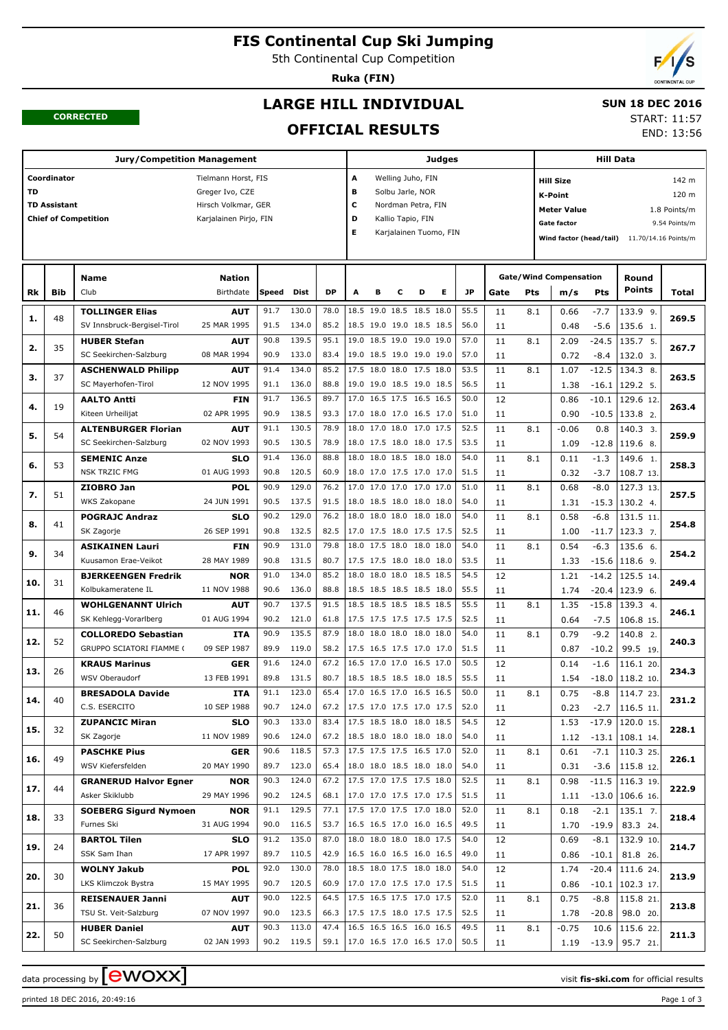# **FIS Continental Cup Ski Jumping**

5th Continental Cup Competition

**Ruka (FIN)**



END: 13:56

#### **CORRECTED**

## **LARGE HILL INDIVIDUAL**

#### **SUN 18 DEC 2016** START: 11:57

**OFFICIAL RESULTS**

|           |                     | <b>Jury/Competition Management</b>  |                           |       |            |           |                          |                          |                    |   | Judges                 |      |      |     |                               | <b>Hill Data</b> |                                              |               |
|-----------|---------------------|-------------------------------------|---------------------------|-------|------------|-----------|--------------------------|--------------------------|--------------------|---|------------------------|------|------|-----|-------------------------------|------------------|----------------------------------------------|---------------|
|           | Coordinator         |                                     | Tielmann Horst, FIS       |       |            |           | Α                        |                          | Welling Juho, FIN  |   |                        |      |      |     | <b>Hill Size</b>              |                  |                                              | 142 m         |
| <b>TD</b> |                     |                                     | Greger Ivo, CZE           |       |            |           | в                        |                          | Solbu Jarle, NOR   |   |                        |      |      |     | <b>K-Point</b>                |                  |                                              | 120 m         |
|           | <b>TD Assistant</b> |                                     | Hirsch Volkmar, GER       |       |            |           | c                        |                          | Nordman Petra, FIN |   |                        |      |      |     | <b>Meter Value</b>            |                  |                                              | 1.8 Points/m  |
|           |                     | <b>Chief of Competition</b>         | Karjalainen Pirjo, FIN    |       |            |           | D                        |                          | Kallio Tapio, FIN  |   |                        |      |      |     | <b>Gate factor</b>            |                  |                                              | 9.54 Points/m |
|           |                     |                                     |                           |       |            |           | Е                        |                          |                    |   | Karjalainen Tuomo, FIN |      |      |     |                               |                  |                                              |               |
|           |                     |                                     |                           |       |            |           |                          |                          |                    |   |                        |      |      |     |                               |                  | Wind factor (head/tail) 11.70/14.16 Points/m |               |
|           |                     |                                     |                           |       |            |           |                          |                          |                    |   |                        |      |      |     |                               |                  |                                              |               |
|           |                     | Name                                | <b>Nation</b>             |       |            |           |                          |                          |                    |   |                        |      |      |     | <b>Gate/Wind Compensation</b> |                  | Round                                        |               |
| Rk        | Bib                 | Club                                | Birthdate                 | Speed | Dist       | <b>DP</b> | A                        | в                        | с                  | D | Е                      | JP   | Gate | Pts | m/s                           | Pts              | <b>Points</b>                                | Total         |
|           |                     |                                     |                           |       |            |           |                          |                          |                    |   |                        |      |      |     |                               |                  |                                              |               |
| 1.        | 48                  | <b>TOLLINGER Elias</b>              | <b>AUT</b>                | 91.7  | 130.0      | 78.0      |                          | 18.5 19.0 18.5 18.5 18.0 |                    |   |                        | 55.5 | 11   | 8.1 | 0.66                          | $-7.7$           | 133.9 9.                                     | 269.5         |
|           |                     | SV Innsbruck-Bergisel-Tirol         | 25 MAR 1995               | 91.5  | 134.0      | 85.2      |                          | 18.5 19.0 19.0 18.5 18.5 |                    |   |                        | 56.0 | 11   |     | 0.48                          | $-5.6$           | 135.6 1.                                     |               |
| 2.        | 35                  | <b>HUBER Stefan</b>                 | <b>AUT</b>                | 90.8  | 139.5      | 95.1      |                          | 19.0 18.5 19.0 19.0 19.0 |                    |   |                        | 57.0 | 11   | 8.1 | 2.09                          | $-24.5$          | 135.7 5.                                     | 267.7         |
|           |                     | SC Seekirchen-Salzburg              | 08 MAR 1994               | 90.9  | 133.0      | 83.4      |                          | 19.0 18.5 19.0 19.0 19.0 |                    |   |                        | 57.0 | 11   |     | 0.72                          | $-8.4$           | 132.0 3.                                     |               |
| з.        | 37                  | <b>ASCHENWALD Philipp</b>           | AUT                       | 91.4  | 134.0      | 85.2      |                          | 17.5 18.0 18.0 17.5 18.0 |                    |   |                        | 53.5 | 11   | 8.1 | 1.07                          | $-12.5$          | 134.3 8.                                     | 263.5         |
|           |                     | SC Mayerhofen-Tirol                 | 12 NOV 1995               | 91.1  | 136.0      | 88.8      |                          | 19.0 19.0 18.5 19.0 18.5 |                    |   |                        | 56.5 | 11   |     | 1.38                          | $-16.1$          | 129.2 5.                                     |               |
| 4.        | 19                  | <b>AALTO Antti</b>                  | FIN                       | 91.7  | 136.5      | 89.7      |                          | 17.0 16.5 17.5 16.5 16.5 |                    |   |                        | 50.0 | 12   |     | 0.86                          | $-10.1$          | 129.6 12.                                    | 263.4         |
|           |                     | Kiteen Urheilijat                   | 02 APR 1995               | 90.9  | 138.5      | 93.3      |                          | 17.0 18.0 17.0 16.5 17.0 |                    |   |                        | 51.0 | 11   |     | 0.90                          | $-10.5$          | 133.8 2.                                     |               |
| 5.        | 54                  | <b>ALTENBURGER Florian</b>          | <b>AUT</b>                | 91.1  | 130.5      | 78.9      |                          | 18.0 17.0 18.0 17.0 17.5 |                    |   |                        | 52.5 | 11   | 8.1 | $-0.06$                       | 0.8              | 140.3 3.                                     | 259.9         |
|           |                     | SC Seekirchen-Salzburg              | 02 NOV 1993               | 90.5  | 130.5      | 78.9      |                          | 18.0 17.5 18.0 18.0 17.5 |                    |   |                        | 53.5 | 11   |     | 1.09                          | $-12.8$          | 119.6 8.                                     |               |
| 6.        | 53                  | <b>SEMENIC Anze</b>                 | <b>SLO</b>                | 91.4  | 136.0      | 88.8      |                          | 18.0 18.0 18.5 18.0 18.0 |                    |   |                        | 54.0 | 11   | 8.1 | 0.11                          | $-1.3$           | 149.6 1.                                     | 258.3         |
|           |                     | <b>NSK TRZIC FMG</b>                | 01 AUG 1993               | 90.8  | 120.5      | 60.9      |                          | 18.0 17.0 17.5 17.0 17.0 |                    |   |                        | 51.5 | 11   |     | 0.32                          | $-3.7$           | 108.7 13.                                    |               |
| 7.        | 51                  | ZIOBRO Jan                          | <b>POL</b>                | 90.9  | 129.0      | 76.2      |                          | 17.0 17.0 17.0 17.0 17.0 |                    |   |                        | 51.0 | 11   | 8.1 | 0.68                          | $-8.0$           | 127.3 13.                                    | 257.5         |
|           |                     | WKS Zakopane                        | 24 JUN 1991               | 90.5  | 137.5      | 91.5      |                          | 18.0 18.5 18.0 18.0 18.0 |                    |   |                        | 54.0 | 11   |     | 1.31                          | $-15.3$          | 130.2 4.                                     |               |
|           |                     | <b>POGRAJC Andraz</b>               | <b>SLO</b>                | 90.2  | 129.0      | 76.2      |                          | 18.0 18.0 18.0 18.0 18.0 |                    |   |                        | 54.0 | 11   | 8.1 | 0.58                          | $-6.8$           | 131.5 11.                                    |               |
| 8.        | 41                  | SK Zagorje                          | 26 SEP 1991               | 90.8  | 132.5      | 82.5      |                          | 17.0 17.5 18.0 17.5 17.5 |                    |   |                        | 52.5 | 11   |     | 1.00                          | $-11.7$          | 123.3 7.                                     | 254.8         |
|           |                     | <b>ASIKAINEN Lauri</b>              | <b>FIN</b>                | 90.9  | 131.0      | 79.8      |                          | 18.0 17.5 18.0 18.0 18.0 |                    |   |                        | 54.0 | 11   | 8.1 | 0.54                          | $-6.3$           | 135.6 6.                                     |               |
| 9.        | 34                  | Kuusamon Erae-Veikot                | 28 MAY 1989               | 90.8  | 131.5      | 80.7      |                          | 17.5 17.5 18.0 18.0 18.0 |                    |   |                        | 53.5 | 11   |     | 1.33                          | $-15.6$          | 118.6 9.                                     | 254.2         |
|           |                     | <b>BJERKEENGEN Fredrik</b>          | <b>NOR</b>                | 91.0  | 134.0      | 85.2      |                          | 18.0 18.0 18.0 18.5 18.5 |                    |   |                        | 54.5 | 12   |     | 1.21                          | $-14.2$          | 125.5 14.                                    |               |
| 10.       | 31                  | Kolbukameratene IL                  | 11 NOV 1988               | 90.6  | 136.0      | 88.8      |                          | 18.5 18.5 18.5 18.5 18.0 |                    |   |                        | 55.5 | 11   |     | 1.74                          | $-20.4$          | $123.96$ .                                   | 249.4         |
|           |                     | <b>WOHLGENANNT Ulrich</b>           | <b>AUT</b>                | 90.7  | 137.5      | 91.5      |                          | 18.5 18.5 18.5 18.5 18.5 |                    |   |                        | 55.5 | 11   | 8.1 | 1.35                          | $-15.8$          | 139.3 4.                                     |               |
| 11.       | 46                  | SK Kehlegg-Vorarlberg               | 01 AUG 1994               | 90.2  | 121.0      | 61.8      |                          | 17.5 17.5 17.5 17.5 17.5 |                    |   |                        | 52.5 | 11   |     | 0.64                          | $-7.5$           | 106.8 15.                                    | 246.1         |
|           |                     | <b>COLLOREDO Sebastian</b>          | <b>ITA</b>                | 90.9  | 135.5      | 87.9      |                          | 18.0 18.0 18.0 18.0 18.0 |                    |   |                        | 54.0 | 11   | 8.1 | 0.79                          | $-9.2$           | 140.8 2.                                     |               |
| 12.       | 52                  | <b>GRUPPO SCIATORI FIAMME (</b>     | 09 SEP 1987               | 89.9  | 119.0      | 58.2      |                          | 17.5 16.5 17.5 17.0 17.0 |                    |   |                        | 51.5 | 11   |     | 0.87                          | $-10.2$          | 99.5 19.                                     | 240.3         |
|           |                     | <b>KRAUS Marinus</b>                | <b>GER</b>                | 91.6  | 124.0      | 67.2      |                          | 16.5 17.0 17.0 16.5 17.0 |                    |   |                        | 50.5 | 12   |     | 0.14                          | $-1.6$           | 116.1 20.                                    |               |
| 13.       | 26                  | WSV Oberaudorf                      | 13 FEB 1991               | 89.8  | 131.5      | 80.7      |                          | 18.5 18.5 18.5 18.0 18.5 |                    |   |                        | 55.5 | 11   |     | 1.54                          | $-18.0$          | 118.2 10.                                    | 234.3         |
|           |                     | <b>BRESADOLA Davide</b>             | <b>ITA</b>                | 91.1  | 123.0      | 65.4      |                          | 17.0 16.5 17.0 16.5 16.5 |                    |   |                        | 50.0 | 11   | 8.1 | 0.75                          | $-8.8$           | 114.7 23.                                    |               |
| 14.       | 40                  | C.S. ESERCITO                       | 10 SEP 1988               | 90.7  | 124.0      | 67.2      | 17.5 17.0 17.5 17.0 17.5 |                          |                    |   |                        | 52.0 | 11   |     | 0.23                          | $-2.7$           | 116.5 11.                                    | 231.2         |
|           |                     | <b>ZUPANCIC Miran</b>               | <b>SLO</b>                | 90.3  | 133.0      | 83.4      |                          | 17.5 18.5 18.0 18.0 18.5 |                    |   |                        | 54.5 | 12   |     | 1.53                          | $-17.9$          | 120.0 15.                                    |               |
| 15.       | 32                  | SK Zagorje                          | 11 NOV 1989               | 90.6  | 124.0      | 67.2      |                          | 18.5 18.0 18.0 18.0 18.0 |                    |   |                        | 54.0 | 11   |     | 1.12                          |                  | $-13.1$ 108.1 14.                            | 228.1         |
|           |                     | <b>PASCHKE Pius</b>                 | <b>GER</b>                | 90.6  | 118.5      | 57.3      |                          | 17.5 17.5 17.5 16.5 17.0 |                    |   |                        | 52.0 | 11   | 8.1 | 0.61                          | $-7.1$           | 110.3 25.                                    |               |
| 16.       | 49                  | WSV Kiefersfelden                   | 20 MAY 1990               | 89.7  | 123.0      | 65.4      |                          | 18.0 18.0 18.5 18.0 18.0 |                    |   |                        | 54.0 | 11   |     | 0.31                          | $-3.6$           | 115.8 12.                                    | 226.1         |
|           |                     | <b>GRANERUD Halvor Egner</b>        | <b>NOR</b>                | 90.3  | 124.0      | 67.2      |                          | 17.5 17.0 17.5 17.5 18.0 |                    |   |                        | 52.5 | 11   | 8.1 | 0.98                          | $-11.5$          | 116.3 19.                                    |               |
| 17.       | 44                  | Asker Skiklubb                      | 29 MAY 1996               | 90.2  | 124.5      | 68.1      |                          | 17.0 17.0 17.5 17.0 17.5 |                    |   |                        | 51.5 | 11   |     | 1.11                          |                  | $-13.0$ 106.6 16.                            | 222.9         |
|           |                     | <b>SOEBERG Sigurd Nymoen</b>        | <b>NOR</b>                | 91.1  | 129.5      | 77.1      |                          | 17.5 17.0 17.5 17.0 18.0 |                    |   |                        | 52.0 | 11   | 8.1 | 0.18                          | $-2.1$           | 135.1 7.                                     |               |
| 18.       | 33                  | Furnes Ski                          | 31 AUG 1994               | 90.0  | 116.5      | 53.7      |                          | 16.5 16.5 17.0 16.0 16.5 |                    |   |                        | 49.5 |      |     |                               |                  |                                              | 218.4         |
|           |                     |                                     |                           | 91.2  | 135.0      | 87.0      |                          | 18.0 18.0 18.0 18.0 17.5 |                    |   |                        | 54.0 | 11   |     | 1.70                          | $-19.9$          | 83.3 24.<br>132.9 10.                        |               |
| 19.       | 24                  | <b>BARTOL Tilen</b><br>SSK Sam Ihan | <b>SLO</b><br>17 APR 1997 | 89.7  | 110.5      | 42.9      |                          | 16.5 16.0 16.5 16.0 16.5 |                    |   |                        | 49.0 | 12   |     | 0.69                          | $-8.1$           |                                              | 214.7         |
|           |                     |                                     |                           | 92.0  | 130.0      | 78.0      |                          | 18.5 18.0 17.5 18.0 18.0 |                    |   |                        | 54.0 | 11   |     | 0.86                          | $-10.1$          | 81.8 26.                                     |               |
| 20.       | 30                  | <b>WOLNY Jakub</b>                  | <b>POL</b>                | 90.7  |            | 60.9      |                          | 17.0 17.0 17.5 17.0 17.5 |                    |   |                        |      | 12   |     | 1.74                          | $-20.4$          | 111.6 24.                                    | 213.9         |
|           |                     | LKS Klimczok Bystra                 | 15 MAY 1995               |       | 120.5      |           |                          | 17.5 16.5 17.5 17.0 17.5 |                    |   |                        | 51.5 | 11   |     | 0.86                          | $-10.1$          | 102.3 17.                                    |               |
| 21.       | 36                  | <b>REISENAUER Janni</b>             | <b>AUT</b>                | 90.0  | 122.5      | 64.5      |                          |                          |                    |   |                        | 52.0 | 11   | 8.1 | 0.75                          | $-8.8$           | 115.8 21.                                    | 213.8         |
|           |                     | TSU St. Veit-Salzburg               | 07 NOV 1997               | 90.0  | 123.5      | 66.3      |                          | 17.5 17.5 18.0 17.5 17.5 |                    |   |                        | 52.5 | 11   |     | 1.78                          | $-20.8$          | 98.0 20.                                     |               |
| 22.       | 50                  | <b>HUBER Daniel</b>                 | <b>AUT</b>                | 90.3  | 113.0      | 47.4      |                          | 16.5 16.5 16.5 16.0 16.5 |                    |   |                        | 49.5 | 11   | 8.1 | $-0.75$                       | 10.6             | 115.6 22.                                    | 211.3         |
|           |                     | SC Seekirchen-Salzburg              | 02 JAN 1993               |       | 90.2 119.5 | 59.1      | 17.0 16.5 17.0 16.5 17.0 |                          |                    |   |                        | 50.5 | 11   |     | 1.19                          | $-13.9$          | 95.7 21.                                     |               |

data processing by **CWOXX**  $\blacksquare$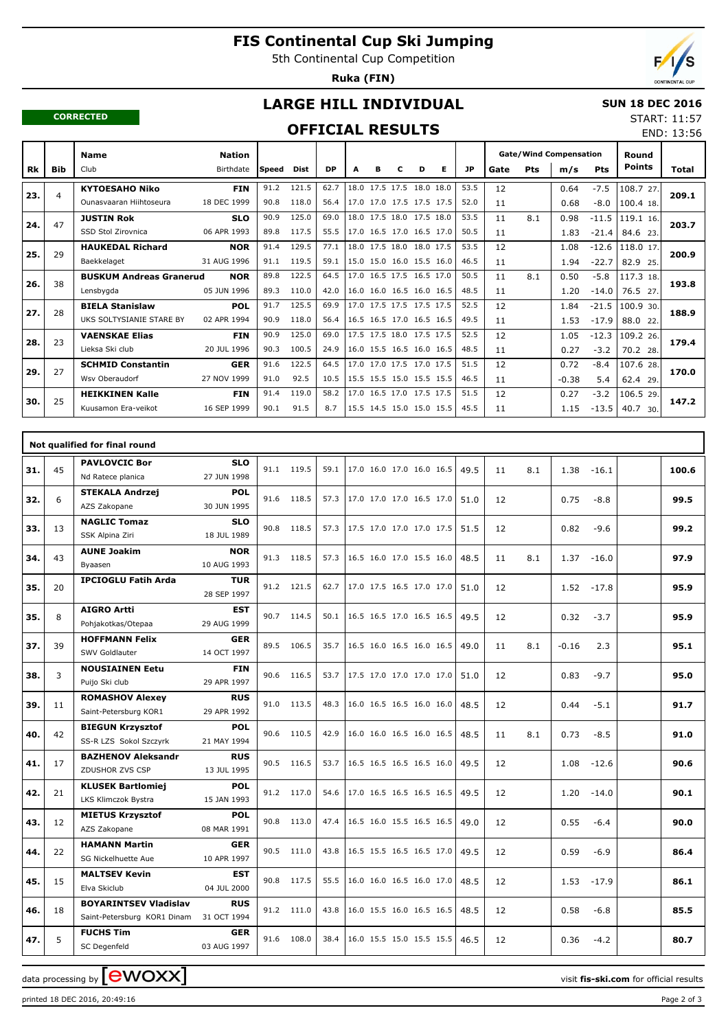# **FIS Continental Cup Ski Jumping**

5th Continental Cup Competition

**Ruka (FIN)**



END: 13:56

#### **CORRECTED**

## **LARGE HILL INDIVIDUAL**

#### **SUN 18 DEC 2016** START: 11:57

### **OFFICIAL RESULTS**

|     |            | <b>Name</b>                    | <b>Nation</b> |              |             |           |   |   |   |                          |   |           | <b>Gate/Wind Compensation</b> |     |         | Round      |               |       |
|-----|------------|--------------------------------|---------------|--------------|-------------|-----------|---|---|---|--------------------------|---|-----------|-------------------------------|-----|---------|------------|---------------|-------|
| Rk  | <b>Bib</b> | Club                           | Birthdate     | <b>Speed</b> | <b>Dist</b> | <b>DP</b> | A | в | c | D                        | Е | <b>JP</b> | Gate                          | Pts | m/s     | <b>Pts</b> | <b>Points</b> | Total |
|     |            | <b>KYTOESAHO Niko</b>          | <b>FIN</b>    | 91.2         | 121.5       | 62.7      |   |   |   | 18.0 17.5 17.5 18.0 18.0 |   | 53.5      | 12                            |     | 0.64    | $-7.5$     | 108.7 27.     | 209.1 |
| 23. | 4          | Ounasyaaran Hiihtoseura        | 18 DEC 1999   | 90.8         | 118.0       | 56.4      |   |   |   | 17.0 17.0 17.5 17.5 17.5 |   | 52.0      | 11                            |     | 0.68    | $-8.0$     | 100.4 18.     |       |
| 24. | 47         | <b>JUSTIN Rok</b>              | <b>SLO</b>    | 90.9         | 125.0       | 69.0      |   |   |   | 18.0 17.5 18.0 17.5 18.0 |   | 53.5      | 11                            | 8.1 | 0.98    | $-11.5$    | 119.1 16.     | 203.7 |
|     |            | SSD Stol Zirovnica             | 06 APR 1993   | 89.8         | 117.5       | 55.5      |   |   |   | 17.0 16.5 17.0 16.5 17.0 |   | 50.5      | 11                            |     | 1.83    | $-21.4$    | 84.6 23.      |       |
| 25. | 29         | <b>HAUKEDAL Richard</b>        | <b>NOR</b>    | 91.4         | 129.5       | 77.1      |   |   |   | 18.0 17.5 18.0 18.0 17.5 |   | 53.5      | 12                            |     | 1.08    | $-12.6$    | 118.0 17.     | 200.9 |
|     |            | Baekkelaget                    | 31 AUG 1996   | 91.1         | 119.5       | 59.1      |   |   |   | 15.0 15.0 16.0 15.5 16.0 |   | 46.5      | 11                            |     | 1.94    | $-22.7$    | 82.9 25.      |       |
| 26. | 38         | <b>BUSKUM Andreas Granerud</b> | <b>NOR</b>    | 89.8         | 122.5       | 64.5      |   |   |   | 17.0 16.5 17.5 16.5 17.0 |   | 50.5      | 11                            | 8.1 | 0.50    | $-5.8$     | 117.3 18.     | 193.8 |
|     |            | Lensbygda                      | 05 JUN 1996   | 89.3         | 110.0       | 42.0      |   |   |   | 16.0 16.0 16.5 16.0 16.5 |   | 48.5      | 11                            |     | 1.20    | $-14.0$    | 76.5 27.      |       |
| 27. | 28         | <b>BIELA Stanislaw</b>         | <b>POL</b>    | 91.7         | 125.5       | 69.9      |   |   |   | 17.0 17.5 17.5 17.5 17.5 |   | 52.5      | 12                            |     | 1.84    | $-21.5$    | 100.9 30.     | 188.9 |
|     |            | UKS SOLTYSIANIE STARE BY       | 02 APR 1994   | 90.9         | 118.0       | 56.4      |   |   |   | 16.5 16.5 17.0 16.5 16.5 |   | 49.5      | 11                            |     | 1.53    | $-17.9$    | 88.0 22.      |       |
| 28. | 23         | <b>VAENSKAE Elias</b>          | <b>FIN</b>    | 90.9         | 125.0       | 69.0      |   |   |   | 17.5 17.5 18.0 17.5 17.5 |   | 52.5      | 12                            |     | 1.05    | $-12.3$    | 109.2 26.     | 179.4 |
|     |            | Lieksa Ski club                | 20 JUL 1996   | 90.3         | 100.5       | 24.9      |   |   |   | 16.0 15.5 16.5 16.0 16.5 |   | 48.5      | 11                            |     | 0.27    | $-3.2$     | 70.2 28.      |       |
| 29. | 27         | <b>SCHMID Constantin</b>       | <b>GER</b>    | 91.6         | 122.5       | 64.5      |   |   |   | 17.0 17.0 17.5 17.0 17.5 |   | 51.5      | 12                            |     | 0.72    | $-8.4$     | 107.6 28.     | 170.0 |
|     |            | Wsy Oberaudorf                 | 27 NOV 1999   | 91.0         | 92.5        | 10.5      |   |   |   | 15.5 15.5 15.0 15.5 15.5 |   | 46.5      | 11                            |     | $-0.38$ | 5.4        | 62.4 29.      |       |
| 30. | 25         | <b>HEIKKINEN Kalle</b>         | <b>FIN</b>    | 91.4         | 119.0       | 58.2      |   |   |   | 17.0 16.5 17.0 17.5 17.5 |   | 51.5      | 12                            |     | 0.27    | $-3.2$     | 106.5 29.     | 147.2 |
|     |            | Kuusamon Era-veikot            | 16 SEP 1999   | 90.1         | 91.5        | 8.7       |   |   |   | 15.5 14.5 15.0 15.0 15.5 |   | 45.5      | 11                            |     | 1.15    | $-13.5$    | 40.7 30.      |       |

|     |    | Not qualified for final round            |                           |      |            |      |                          |  |      |    |     |         |         |       |
|-----|----|------------------------------------------|---------------------------|------|------------|------|--------------------------|--|------|----|-----|---------|---------|-------|
| 31. | 45 | <b>PAVLOVCIC Bor</b>                     | <b>SLO</b>                |      | 91.1 119.5 | 59.1 | 17.0 16.0 17.0 16.0 16.5 |  | 49.5 | 11 | 8.1 | 1.38    | $-16.1$ | 100.6 |
|     |    | Nd Ratece planica                        | 27 JUN 1998               |      |            |      |                          |  |      |    |     |         |         |       |
| 32. | 6  | <b>STEKALA Andrzej</b>                   | <b>POL</b>                |      | 91.6 118.5 | 57.3 | 17.0 17.0 17.0 16.5 17.0 |  | 51.0 | 12 |     | 0.75    | $-8.8$  | 99.5  |
|     |    | AZS Zakopane                             | 30 JUN 1995               |      |            |      |                          |  |      |    |     |         |         |       |
| 33. | 13 | <b>NAGLIC Tomaz</b>                      | <b>SLO</b>                | 90.8 | 118.5      | 57.3 | 17.5 17.0 17.0 17.0 17.5 |  | 51.5 | 12 |     | 0.82    | $-9.6$  | 99.2  |
|     |    | SSK Alpina Ziri                          | 18 JUL 1989               |      |            |      |                          |  |      |    |     |         |         |       |
| 34. | 43 | <b>AUNE Joakim</b>                       | <b>NOR</b>                |      | 91.3 118.5 | 57.3 | 16.5 16.0 17.0 15.5 16.0 |  | 48.5 | 11 | 8.1 | 1.37    | $-16.0$ | 97.9  |
|     |    | Byaasen                                  | 10 AUG 1993               |      |            |      |                          |  |      |    |     |         |         |       |
| 35. | 20 | <b>IPCIOGLU Fatih Arda</b>               | <b>TUR</b>                |      | 91.2 121.5 | 62.7 | 17.0 17.5 16.5 17.0 17.0 |  | 51.0 | 12 |     | 1.52    | $-17.8$ | 95.9  |
|     |    |                                          | 28 SEP 1997               |      |            |      |                          |  |      |    |     |         |         |       |
| 35. | 8  | <b>AIGRO Artti</b>                       | <b>EST</b>                |      | 90.7 114.5 | 50.1 | 16.5 16.5 17.0 16.5 16.5 |  | 49.5 | 12 |     | 0.32    | $-3.7$  | 95.9  |
|     |    | Pohjakotkas/Otepaa                       | 29 AUG 1999               |      |            |      |                          |  |      |    |     |         |         |       |
| 37. | 39 | <b>HOFFMANN Felix</b>                    | GER                       |      | 89.5 106.5 | 35.7 | 16.5 16.0 16.5 16.0 16.5 |  | 49.0 | 11 | 8.1 | $-0.16$ | 2.3     | 95.1  |
|     |    | SWV Goldlauter                           | 14 OCT 1997               |      |            |      |                          |  |      |    |     |         |         |       |
| 38. | 3  | <b>NOUSIAINEN Eetu</b><br>Puijo Ski club | <b>FIN</b><br>29 APR 1997 | 90.6 | 116.5      | 53.7 | 17.5 17.0 17.0 17.0 17.0 |  | 51.0 | 12 |     | 0.83    | $-9.7$  | 95.0  |
|     |    | <b>ROMASHOV Alexey</b>                   | <b>RUS</b>                |      |            |      |                          |  |      |    |     |         |         |       |
| 39. | 11 | Saint-Petersburg KOR1                    | 29 APR 1992               |      | 91.0 113.5 | 48.3 | 16.0 16.5 16.5 16.0 16.0 |  | 48.5 | 12 |     | 0.44    | $-5.1$  | 91.7  |
|     |    | <b>BIEGUN Krzysztof</b>                  | <b>POL</b>                |      |            |      |                          |  |      |    |     |         |         |       |
| 40. | 42 | SS-R LZS Sokol Szczyrk                   | 21 MAY 1994               |      | 90.6 110.5 | 42.9 | 16.0 16.0 16.5 16.0 16.5 |  | 48.5 | 11 | 8.1 | 0.73    | $-8.5$  | 91.0  |
|     |    | <b>BAZHENOV Aleksandr</b>                | <b>RUS</b>                |      |            |      |                          |  |      |    |     |         |         |       |
| 41. | 17 | ZDUSHOR ZVS CSP                          | 13 JUL 1995               |      | 90.5 116.5 | 53.7 | 16.5 16.5 16.5 16.5 16.0 |  | 49.5 | 12 |     | 1.08    | $-12.6$ | 90.6  |
| 42. | 21 | <b>KLUSEK Bartlomiej</b>                 | <b>POL</b>                |      | 91.2 117.0 | 54.6 | 17.0 16.5 16.5 16.5 16.5 |  | 49.5 | 12 |     | 1.20    | $-14.0$ | 90.1  |
|     |    | LKS Klimczok Bystra                      | 15 JAN 1993               |      |            |      |                          |  |      |    |     |         |         |       |
| 43. | 12 | <b>MIETUS Krzysztof</b>                  | <b>POL</b>                |      | 90.8 113.0 | 47.4 | 16.5 16.0 15.5 16.5 16.5 |  | 49.0 | 12 |     | 0.55    | $-6.4$  | 90.0  |
|     |    | AZS Zakopane                             | 08 MAR 1991               |      |            |      |                          |  |      |    |     |         |         |       |
| 44. | 22 | <b>HAMANN Martin</b>                     | <b>GER</b>                |      | 90.5 111.0 | 43.8 | 16.5 15.5 16.5 16.5 17.0 |  | 49.5 | 12 |     | 0.59    | $-6.9$  | 86.4  |
|     |    | SG Nickelhuette Aue                      | 10 APR 1997               |      |            |      |                          |  |      |    |     |         |         |       |
| 45. | 15 | <b>MALTSEV Kevin</b>                     | <b>EST</b>                |      | 90.8 117.5 | 55.5 | 16.0 16.0 16.5 16.0 17.0 |  | 48.5 | 12 |     | 1.53    | $-17.9$ | 86.1  |
|     |    | Elva Skiclub                             | 04 JUL 2000               |      |            |      |                          |  |      |    |     |         |         |       |
| 46. | 18 | <b>BOYARINTSEV Vladislav</b>             | <b>RUS</b>                |      | 91.2 111.0 | 43.8 | 16.0 15.5 16.0 16.5 16.5 |  | 48.5 | 12 |     | 0.58    | $-6.8$  | 85.5  |
|     |    | Saint-Petersburg KOR1 Dinam              | 31 OCT 1994               |      |            |      |                          |  |      |    |     |         |         |       |
| 47. | 5  | <b>FUCHS Tim</b>                         | <b>GER</b>                | 91.6 | 108.0      | 38.4 | 16.0 15.5 15.0 15.5 15.5 |  | 46.5 | 12 |     | 0.36    | $-4.2$  | 80.7  |
|     |    | SC Degenfeld                             | 03 AUG 1997               |      |            |      |                          |  |      |    |     |         |         |       |

data processing by **CWOXX**  $\blacksquare$